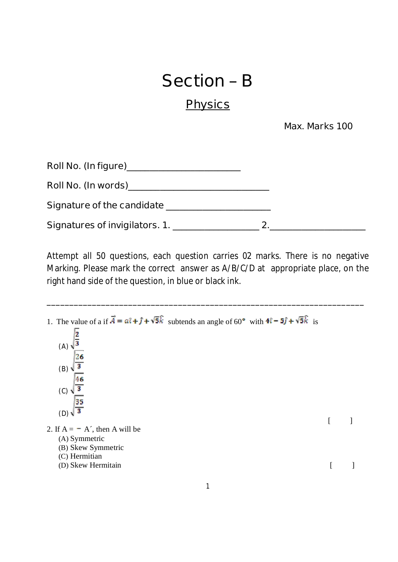## **Section – B**

## **Physics**

 **Max. Marks 100** 

| Signature of the candidate _____ |  |
|----------------------------------|--|
| Signatures of invigilators. 1.   |  |

**Attempt all 50 questions, each question carries 02 marks. There is no negative Marking. Please mark the correct answer as A/B/C/D at appropriate place, on the right hand side of the question, in blue or black ink.** 

**\_\_\_\_\_\_\_\_\_\_\_\_\_\_\_\_\_\_\_\_\_\_\_\_\_\_\_\_\_\_\_\_\_\_\_\_\_\_\_\_\_\_\_\_\_\_\_\_\_\_\_\_\_\_\_\_\_\_\_\_\_\_\_\_\_\_\_\_\_\_** 

1. The value of a if  $\vec{A} = a\hat{i} + \hat{j} + \sqrt{5}\hat{k}$  subtends an angle of 60° with  $4\hat{i} - 5\hat{j} + \sqrt{5}\hat{k}$  is (A)  $\sqrt{\frac{2}{3}}$ (B) (C)  $\overline{35}$  $(D)$  $\sqrt{3}$  $\begin{bmatrix} 1 & 1 \end{bmatrix}$ 2. If  $A = -A'$ , then A will be (A) Symmetric (B) Skew Symmetric (C) Hermitian (D) Skew Hermitain [ ]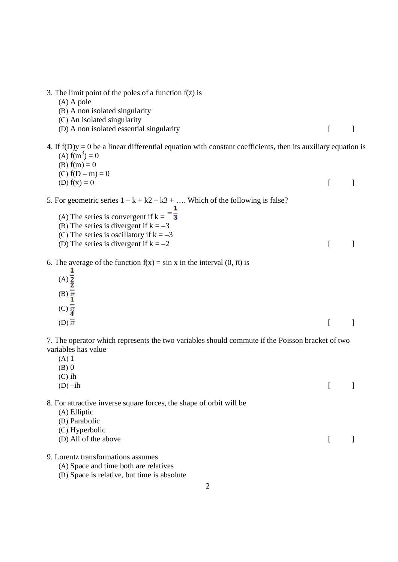- 3. The limit point of the poles of a function f(z) is
	- (A) A pole
	- (B) A non isolated singularity
	- (C) An isolated singularity
	- (D) A non isolated essential singularity [ ]
- 4. If  $f(D)y = 0$  be a linear differential equation with constant coefficients, then its auxiliary equation is (A)  $f(m^3) = 0$ 
	- (B)  $f(m) = 0$
	- (C)  $f(D m) = 0$ (D)  $f(x) = 0$  [ ]
- 
- 5. For geometric series  $1 k + k^2 k^3 + \dots$  Which of the following is false?
	- (A) The series is convergent if  $k = -\frac{1}{3}$
	- (B) The series is divergent if  $k = -3$
	- (C) The series is oscillatory if  $k = -3$
	- (D) The series is divergent if  $k = -2$  [ ]
- 6. The average of the function  $f(x) = \sin x$  in the interval  $(0, \pi)$  is
	- 1  $(A)\overline{2}$  $\frac{\pi}{1}$ (B)
	- $(C)\frac{1}{4}$ (D)  $\overline{\pi}$  [ ]

7. The operator which represents the two variables should commute if the Poisson bracket of two variables has value

- (A) 1
- $(B)$  0
- (C) ih  $(D)$  –ih  $[$  ] 8. For attractive inverse square forces, the shape of orbit will be (A) Elliptic (B) Parabolic (C) Hyperbolic (D) All of the above [ ] 9. Lorentz transformations assumes
	- (A) Space and time both are relatives
	- (B) Space is relative, but time is absolute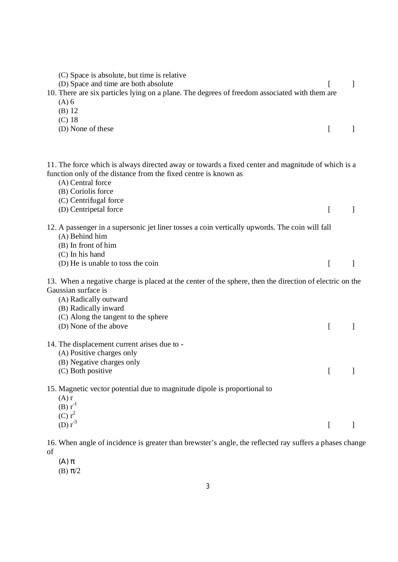| (C) Space is absolute, but time is relative<br>(D) Space and time are both absolute<br>10. There are six particles lying on a plane. The degrees of freedom associated with them are<br>$(A)$ 6<br>$(B)$ 12                                                       |              |               |
|-------------------------------------------------------------------------------------------------------------------------------------------------------------------------------------------------------------------------------------------------------------------|--------------|---------------|
| $(C)$ 18<br>(D) None of these                                                                                                                                                                                                                                     | L            |               |
| 11. The force which is always directed away or towards a fixed center and magnitude of which is a<br>function only of the distance from the fixed centre is known as<br>(A) Central force<br>(B) Coriolis force<br>(C) Centrifugal force<br>(D) Centripetal force | L            | 1             |
| 12. A passenger in a supersonic jet liner tosses a coin vertically upwords. The coin will fall<br>(A) Behind him<br>(B) In front of him<br>(C) In his hand<br>(D) He is unable to toss the coin                                                                   | L            | $\mathcal{I}$ |
| 13. When a negative charge is placed at the center of the sphere, then the direction of electric on the<br>Gaussian surface is<br>(A) Radically outward<br>(B) Radically inward<br>(C) Along the tangent to the sphere<br>(D) None of the above                   | $\Gamma$     | 1             |
| 14. The displacement current arises due to -<br>(A) Positive charges only<br>(B) Negative charges only<br>(C) Both positive                                                                                                                                       | $\mathbb{R}$ | $\mathbf{I}$  |
| 15. Magnetic vector potential due to magnitude dipole is proportional to<br>$(A)$ r<br>$(B) r^{-1}$<br>(C) r <sup>2</sup><br>(D) $r^3$                                                                                                                            | $\Gamma$     |               |

16. When angle of incidence is greater than brewster's angle, the reflected ray suffers a phases change of

- (Α) π
- (B) π/2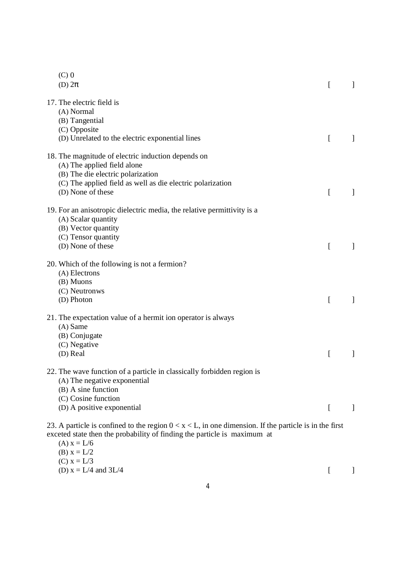| $(C)$ 0<br>(D) $2\pi$                                                                                                                       |                                                                                                                                                                                      | L        |  |
|---------------------------------------------------------------------------------------------------------------------------------------------|--------------------------------------------------------------------------------------------------------------------------------------------------------------------------------------|----------|--|
| 17. The electric field is<br>(A) Normal<br>(B) Tangential<br>(C) Opposite<br>(D) Unrelated to the electric exponential lines                |                                                                                                                                                                                      | L        |  |
| 18. The magnitude of electric induction depends on<br>(A) The applied field alone<br>(B) The die electric polarization<br>(D) None of these | (C) The applied field as well as die electric polarization                                                                                                                           | L        |  |
| (A) Scalar quantity<br>(B) Vector quantity<br>(C) Tensor quantity<br>(D) None of these                                                      | 19. For an anisotropic dielectric media, the relative permittivity is a                                                                                                              | I        |  |
| 20. Which of the following is not a fermion?<br>(A) Electrons<br>(B) Muons<br>(C) Neutronws<br>(D) Photon                                   |                                                                                                                                                                                      | L        |  |
| $(A)$ Same<br>(B) Conjugate<br>(C) Negative<br>(D) Real                                                                                     | 21. The expectation value of a hermit ion operator is always                                                                                                                         | ſ        |  |
| (A) The negative exponential<br>(B) A sine function<br>(C) Cosine function<br>(D) A positive exponential                                    | 22. The wave function of a particle in classically forbidden region is                                                                                                               | $\Gamma$ |  |
| (A) $x = L/6$<br>(B) $x = L/2$                                                                                                              | 23. A particle is confined to the region $0 < x < L$ , in one dimension. If the particle is in the first<br>exceted state then the probability of finding the particle is maximum at |          |  |

(C)  $x = L/3$ (D)  $x = L/4$  and  $3L/4$  [ ]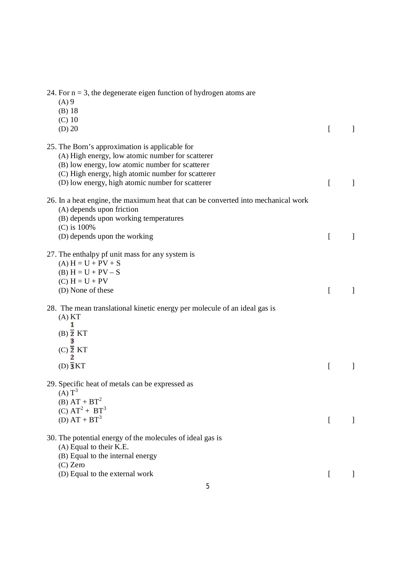| 24. For $n = 3$ , the degenerate eigen function of hydrogen atoms are<br>$(A)$ 9<br>$(B)$ 18<br>$(C)$ 10<br>$(D)$ 20                                                                                                                                           | ſ | ] |
|----------------------------------------------------------------------------------------------------------------------------------------------------------------------------------------------------------------------------------------------------------------|---|---|
| 25. The Born's approximation is applicable for<br>(A) High energy, low atomic number for scatterer<br>(B) low energy, low atomic number for scatterer<br>(C) High energy, high atomic number for scatterer<br>(D) low energy, high atomic number for scatterer | L | 1 |
| 26. In a heat engine, the maximum heat that can be converted into mechanical work<br>(A) depends upon friction<br>(B) depends upon working temperatures<br>(C) is 100%<br>(D) depends upon the working                                                         | ſ |   |
| 27. The enthalpy pf unit mass for any system is<br>$(A) H = U + PV + S$<br>(B) $H = U + PV - S$<br>$(C) H = U + PV$<br>(D) None of these                                                                                                                       | ſ |   |
| 28. The mean translational kinetic energy per molecule of an ideal gas is<br>(A) KT<br>1<br>$(B)$ $\overline{2}$ KT<br>$(C)$ $\overline{2}$ KT<br>$(D)\overline{\mathbf{3}}KT$                                                                                 | L |   |
| 29. Specific heat of metals can be expressed as<br>(A) T <sup>3</sup><br>(B) $AT + BT^2$<br>(C) $AT^2 + BT^3$<br>(D) $AT + BT^3$                                                                                                                               | L |   |
| 30. The potential energy of the molecules of ideal gas is<br>(A) Equal to their K.E.<br>(B) Equal to the internal energy<br>$(C)$ Zero<br>(D) Equal to the external work                                                                                       |   |   |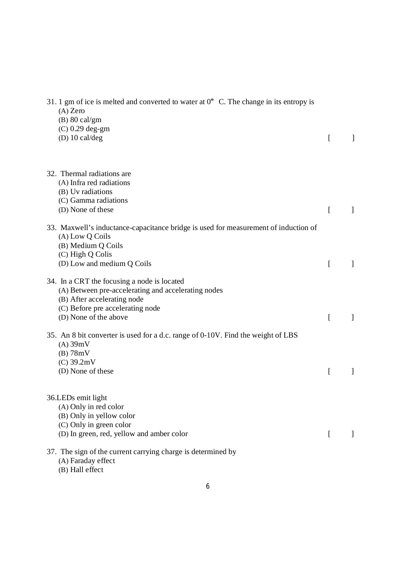| 31. 1 gm of ice is melted and converted to water at $0^{\circ}$ C. The change in its entropy is<br>$(A)$ Zero<br>$(B)$ 80 cal/gm<br>$(C)$ 0.29 deg-gm<br>(D) $10 \text{ cal/deg}$              | ſ |   |
|------------------------------------------------------------------------------------------------------------------------------------------------------------------------------------------------|---|---|
| 32. Thermal radiations are<br>(A) Infra red radiations<br>(B) Uv radiations<br>(C) Gamma radiations<br>(D) None of these                                                                       | ſ |   |
| 33. Maxwell's inductance-capacitance bridge is used for measurement of induction of<br>(A) Low Q Coils<br>(B) Medium Q Coils<br>(C) High Q Colis<br>(D) Low and medium Q Coils                 | ſ | 1 |
| 34. In a CRT the focusing a node is located<br>(A) Between pre-accelerating and accelerating nodes<br>(B) After accelerating node<br>(C) Before pre accelerating node<br>(D) None of the above | L |   |
| 35. An 8 bit converter is used for a d.c. range of 0-10V. Find the weight of LBS<br>$(A)$ 39mV<br>$(B)$ 78mV<br>$(C)$ 39.2mV<br>(D) None of these                                              | ſ |   |
| 36.LEDs emit light<br>(A) Only in red color<br>(B) Only in yellow color<br>(C) Only in green color<br>(D) In green, red, yellow and amber color                                                | L |   |
| 37. The sign of the current carrying charge is determined by<br>(A) Faraday effect                                                                                                             |   |   |

(B) Hall effect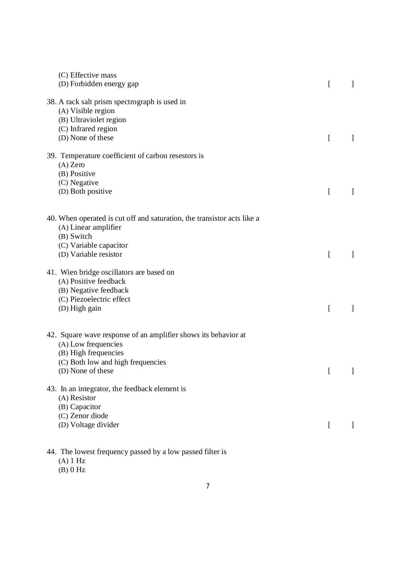| (C) Effective mass<br>(D) Forbidden energy gap                                                                                                                          | L                                              |                          |
|-------------------------------------------------------------------------------------------------------------------------------------------------------------------------|------------------------------------------------|--------------------------|
| 38. A rack salt prism spectrograph is used in<br>(A) Visible region<br>(B) Ultraviolet region<br>(C) Infrared region<br>(D) None of these                               | ſ                                              |                          |
| 39. Temperature coefficient of carbon resestors is<br>$(A)$ Zero<br>(B) Positive<br>(C) Negative<br>(D) Both positive                                                   | ſ                                              |                          |
| 40. When operated is cut off and saturation, the transistor acts like a<br>(A) Linear amplifier<br>(B) Switch<br>(C) Variable capacitor<br>(D) Variable resistor        | ſ                                              |                          |
| 41. Wien bridge oscillators are based on<br>(A) Positive feedback<br>(B) Negative feedback<br>(C) Piezoelectric effect<br>(D) High gain                                 | ſ                                              |                          |
| 42. Square wave response of an amplifier shows its behavior at<br>(A) Low frequencies<br>(B) High frequencies<br>(C) Both low and high frequencies<br>(D) None of these | $\begin{bmatrix} 1 & 1 \\ 1 & 1 \end{bmatrix}$ | $\overline{\phantom{a}}$ |
| 43. In an integrator, the feedback element is<br>(A) Resistor<br>(B) Capacitor<br>(C) Zenor diode<br>(D) Voltage divider                                                | $\mathsf{L}$                                   |                          |
|                                                                                                                                                                         |                                                |                          |

- 44. The lowest frequency passed by a low passed filter is
	- (A) 1 Hz
	- (B) 0 Hz